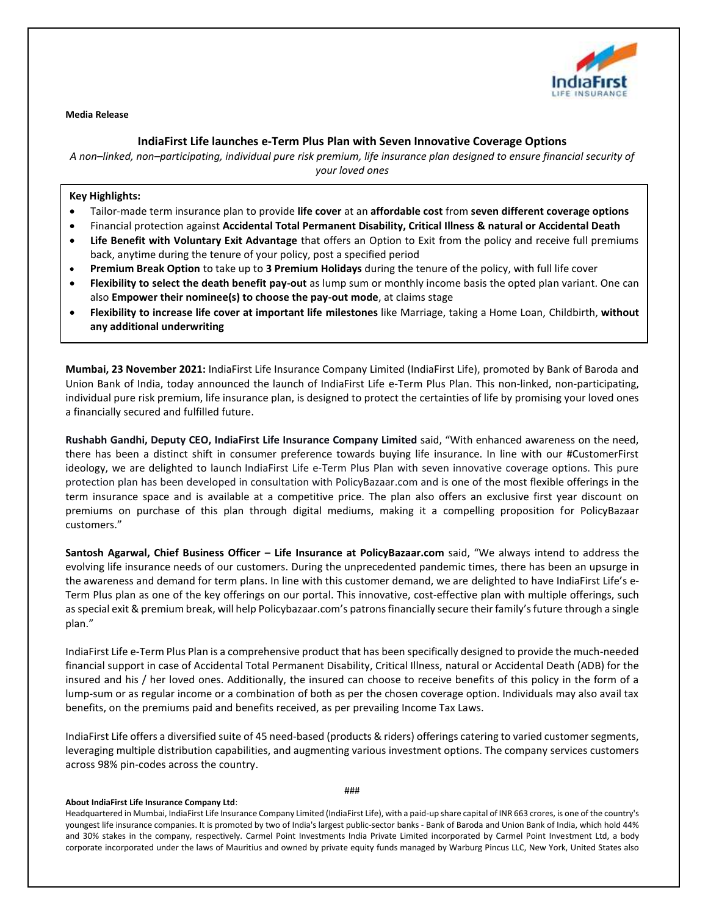

**Media Release**

## **IndiaFirst Life launches e-Term Plus Plan with Seven Innovative Coverage Options**

*A non–linked, non–participating, individual pure risk premium, life insurance plan designed to ensure financial security of your loved ones*

## **Key Highlights:**

- Tailor-made term insurance plan to provide **life cover** at an **affordable cost** from **seven different coverage options**
- Financial protection against **Accidental Total Permanent Disability, Critical Illness & natural or Accidental Death**
- **Life Benefit with Voluntary Exit Advantage** that offers an Option to Exit from the policy and receive full premiums back, anytime during the tenure of your policy, post a specified period
- **Premium Break Option** to take up to **3 Premium Holidays** during the tenure of the policy, with full life cover
- **Flexibility to select the death benefit pay-out** as lump sum or monthly income basis the opted plan variant. One can also **Empower their nominee(s) to choose the pay-out mode**, at claims stage
- **Flexibility to increase life cover at important life milestones** like Marriage, taking a Home Loan, Childbirth, **without any additional underwriting**

**Mumbai, 23 November 2021:** IndiaFirst Life Insurance Company Limited (IndiaFirst Life), promoted by Bank of Baroda and Union Bank of India, today announced the launch of IndiaFirst Life e-Term Plus Plan. This non-linked, non-participating, individual pure risk premium, life insurance plan, is designed to protect the certainties of life by promising your loved ones a financially secured and fulfilled future.

**Rushabh Gandhi, Deputy CEO, IndiaFirst Life Insurance Company Limited** said, "With enhanced awareness on the need, there has been a distinct shift in consumer preference towards buying life insurance. In line with our #CustomerFirst ideology, we are delighted to launch IndiaFirst Life e-Term Plus Plan with seven innovative coverage options. This pure protection plan has been developed in consultation with PolicyBazaar.com and is one of the most flexible offerings in the term insurance space and is available at a competitive price. The plan also offers an exclusive first year discount on premiums on purchase of this plan through digital mediums, making it a compelling proposition for PolicyBazaar customers."

**Santosh Agarwal, Chief Business Officer – Life Insurance at PolicyBazaar.com** said, "We always intend to address the evolving life insurance needs of our customers. During the unprecedented pandemic times, there has been an upsurge in the awareness and demand for term plans. In line with this customer demand, we are delighted to have IndiaFirst Life's e-Term Plus plan as one of the key offerings on our portal. This innovative, cost-effective plan with multiple offerings, such asspecial exit & premium break, will help Policybazaar.com's patrons financially secure their family's future through a single plan."

IndiaFirst Life e-Term Plus Plan is a comprehensive product that has been specifically designed to provide the much-needed financial support in case of Accidental Total Permanent Disability, Critical Illness, natural or Accidental Death (ADB) for the insured and his / her loved ones. Additionally, the insured can choose to receive benefits of this policy in the form of a lump-sum or as regular income or a combination of both as per the chosen coverage option. Individuals may also avail tax benefits, on the premiums paid and benefits received, as per prevailing Income Tax Laws.

IndiaFirst Life offers a diversified suite of 45 need-based (products & riders) offerings catering to varied customer segments, leveraging multiple distribution capabilities, and augmenting various investment options. The company services customers across 98% pin-codes across the country.

###

## **About IndiaFirst Life Insurance Company Ltd**:

Headquartered in Mumbai, IndiaFirst Life Insurance Company Limited (IndiaFirst Life), with a paid-up share capital of INR 663 crores, is one of the country's youngest life insurance companies. It is promoted by two of India's largest public-sector banks - Bank of Baroda and Union Bank of India, which hold 44% and 30% stakes in the company, respectively. Carmel Point Investments India Private Limited incorporated by Carmel Point Investment Ltd, a body corporate incorporated under the laws of Mauritius and owned by private equity funds managed by Warburg Pincus LLC, New York, United States also